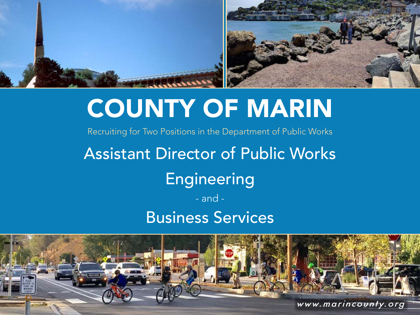

# COUNTY OF MARIN

Recruiting for Two Positions in the Department of Public Works

# Assistant Director of Public Works

## Engineering

### - and - Business Services

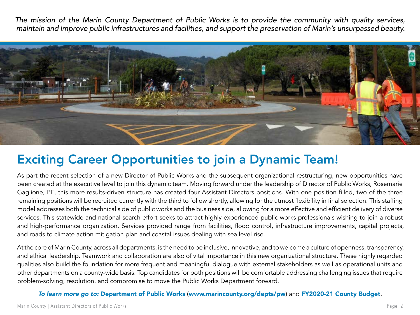*The mission of the Marin County Department of Public Works is to provide the community with quality services, maintain and improve public infrastructures and facilities, and support the preservation of Marin's unsurpassed beauty.* 



### Exciting Career Opportunities to join a Dynamic Team!

As part the recent selection of a new Director of Public Works and the subsequent organizational restructuring, new opportunities have been created at the executive level to join this dynamic team. Moving forward under the leadership of Director of Public Works, Rosemarie Gaglione, PE, this more results-driven structure has created four Assistant Directors positions. With one position filled, two of the three remaining positions will be recruited currently with the third to follow shortly, allowing for the utmost flexibility in final selection. This staffing model addresses both the technical side of public works and the business side, allowing for a more effective and efficient delivery of diverse services. This statewide and national search effort seeks to attract highly experienced public works professionals wishing to join a robust and high-performance organization. Services provided range from facilities, flood control, infrastructure improvements, capital projects, and roads to climate action mitigation plan and coastal issues dealing with sea level rise.

At the core of Marin County, across all departments, is the need to be inclusive, innovative, and to welcome a culture of openness, transparency, and ethical leadership. Teamwork and collaboration are also of vital importance in this new organizational structure. These highly regarded qualities also build the foundation for more frequent and meaningful dialogue with external stakeholders as well as operational units and other departments on a county-wide basis. Top candidates for both positions will be comfortable addressing challenging issues that require problem-solving, resolution, and compromise to move the Public Works Department forward.

#### *To learn more go to:* Department of Public Works ([www.marincounty.org/depts/pw](http://www.marincounty.org/depts/pw)) and [FY2020-21 County Budget](https://www.marincounty.org/-/media/files/departments/ad/management-and-budget/budget/fy-202021-proposed-budget.pdf?la=en).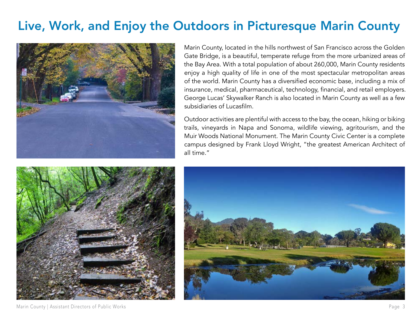### Live, Work, and Enjoy the Outdoors in Picturesque Marin County



Marin County, located in the hills northwest of San Francisco across the Golden Gate Bridge, is a beautiful, temperate refuge from the more urbanized areas of the Bay Area. With a total population of about 260,000, Marin County residents enjoy a high quality of life in one of the most spectacular metropolitan areas of the world. Marin County has a diversified economic base, including a mix of insurance, medical, pharmaceutical, technology, financial, and retail employers. George Lucas' Skywalker Ranch is also located in Marin County as well as a few subsidiaries of Lucasfilm.

Outdoor activities are plentiful with access to the bay, the ocean, hiking or biking trails, vineyards in Napa and Sonoma, wildlife viewing, agritourism, and the Muir Woods National Monument. The Marin County Civic Center is a complete campus designed by Frank Lloyd Wright, "the greatest American Architect of all time."





Marin County | Assistant Directors of Public Works **Page 3**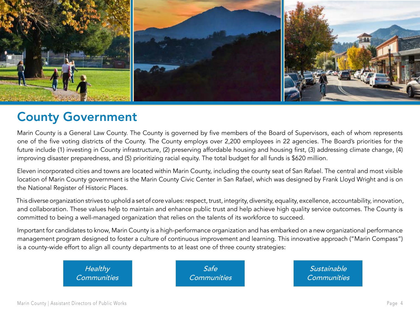

#### County Government

Marin County is a General Law County. The County is governed by five members of the Board of Supervisors, each of whom represents one of the five voting districts of the County. The County employs over 2,200 employees in 22 agencies. The Board's priorities for the future include (1) investing in County infrastructure, (2) preserving affordable housing and housing first, (3) addressing climate change, (4) improving disaster preparedness, and (5) prioritizing racial equity. The total budget for all funds is \$620 million.

Eleven incorporated cities and towns are located within Marin County, including the county seat of San Rafael. The central and most visible location of Marin County government is the Marin County Civic Center in San Rafael, which was designed by Frank Lloyd Wright and is on the National Register of Historic Places.

This diverse organization strives to uphold a set of core values: respect, trust, integrity, diversity, equality, excellence, accountability, innovation, and collaboration. These values help to maintain and enhance public trust and help achieve high quality service outcomes. The County is committed to being a well-managed organization that relies on the talents of its workforce to succeed.

Important for candidates to know, Marin County is a high-performance organization and has embarked on a new organizational performance management program designed to foster a culture of continuous improvement and learning. This innovative approach ("Marin Compass") is a county-wide effort to align all county departments to at least one of three county strategies:

> *Healthy Communities*

*Safe Communities*

*Sustainable Communities*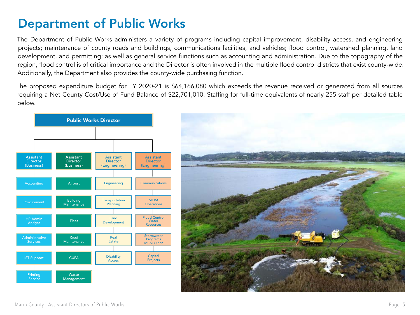### Department of Public Works

The Department of Public Works administers a variety of programs including capital improvement, disability access, and engineering projects; maintenance of county roads and buildings, communications facilities, and vehicles; flood control, watershed planning, land development, and permitting; as well as general service functions such as accounting and administration. Due to the topography of the region, flood control is of critical importance and the Director is often involved in the multiple flood control districts that exist county-wide. Additionally, the Department also provides the county-wide purchasing function.

The proposed expenditure budget for FY 2020-21 is \$64,166,080 which exceeds the revenue received or generated from all sources requiring a Net County Cost/Use of Fund Balance of \$22,701,010. Staffing for full-time equivalents of nearly 255 staff per detailed table below.



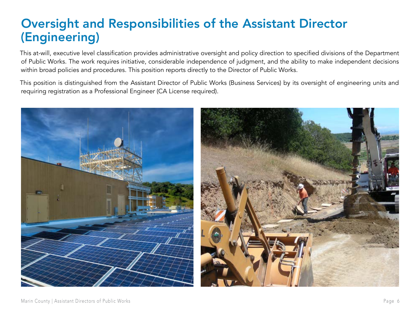### Oversight and Responsibilities of the Assistant Director (Engineering)

This at-will, executive level classification provides administrative oversight and policy direction to specified divisions of the Department of Public Works. The work requires initiative, considerable independence of judgment, and the ability to make independent decisions within broad policies and procedures. This position reports directly to the Director of Public Works.

This position is distinguished from the Assistant Director of Public Works (Business Services) by its oversight of engineering units and requiring registration as a Professional Engineer (CA License required).

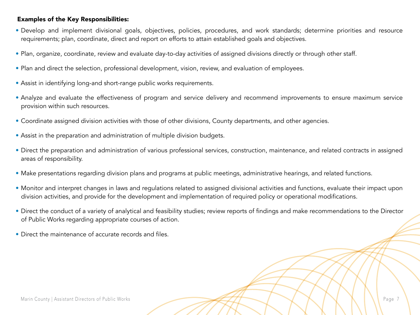#### Examples of the Key Responsibilities:

- Develop and implement divisional goals, objectives, policies, procedures, and work standards; determine priorities and resource requirements; plan, coordinate, direct and report on efforts to attain established goals and objectives.
- Plan, organize, coordinate, review and evaluate day-to-day activities of assigned divisions directly or through other staff.
- Plan and direct the selection, professional development, vision, review, and evaluation of employees.
- Assist in identifying long-and short-range public works requirements.
- Analyze and evaluate the effectiveness of program and service delivery and recommend improvements to ensure maximum service provision within such resources.
- Coordinate assigned division activities with those of other divisions, County departments, and other agencies.
- Assist in the preparation and administration of multiple division budgets.
- Direct the preparation and administration of various professional services, construction, maintenance, and related contracts in assigned areas of responsibility.
- Make presentations regarding division plans and programs at public meetings, administrative hearings, and related functions.
- Monitor and interpret changes in laws and regulations related to assigned divisional activities and functions, evaluate their impact upon division activities, and provide for the development and implementation of required policy or operational modifications.
- Direct the conduct of a variety of analytical and feasibility studies; review reports of findings and make recommendations to the Director of Public Works regarding appropriate courses of action.
- Direct the maintenance of accurate records and files.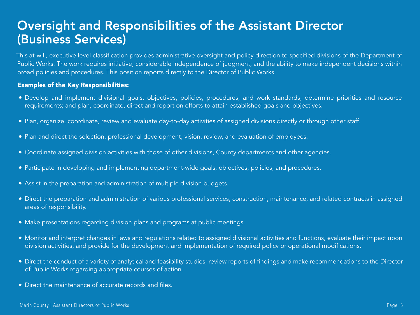#### Oversight and Responsibilities of the Assistant Director (Business Services)

This at-will, executive level classification provides administrative oversight and policy direction to specified divisions of the Department of Public Works. The work requires initiative, considerable independence of judgment, and the ability to make independent decisions within broad policies and procedures. This position reports directly to the Director of Public Works.

#### Examples of the Key Responsibilities:

- Develop and implement divisional goals, objectives, policies, procedures, and work standards; determine priorities and resource requirements; and plan, coordinate, direct and report on efforts to attain established goals and objectives.
- Plan, organize, coordinate, review and evaluate day-to-day activities of assigned divisions directly or through other staff.
- Plan and direct the selection, professional development, vision, review, and evaluation of employees.
- Coordinate assigned division activities with those of other divisions, County departments and other agencies.
- Participate in developing and implementing department-wide goals, objectives, policies, and procedures.
- Assist in the preparation and administration of multiple division budgets.
- Direct the preparation and administration of various professional services, construction, maintenance, and related contracts in assigned areas of responsibility.
- Make presentations regarding division plans and programs at public meetings.
- Monitor and interpret changes in laws and regulations related to assigned divisional activities and functions, evaluate their impact upon division activities, and provide for the development and implementation of required policy or operational modifications.
- Direct the conduct of a variety of analytical and feasibility studies; review reports of findings and make recommendations to the Director of Public Works regarding appropriate courses of action.
- Direct the maintenance of accurate records and files.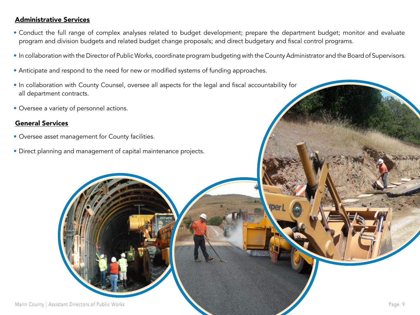#### Administrative Services

- Conduct the full range of complex analyses related to budget development; prepare the department budget; monitor and evaluate program and division budgets and related budget change proposals; and direct budgetary and fiscal control programs.
- In collaboration with the Director of Public Works, coordinate program budgeting with the County Administrator and the Board of Supervisors.
- Anticipate and respond to the need for new or modified systems of funding approaches.
- In collaboration with County Counsel, oversee all aspects for the legal and fiscal accountability for all department contracts.
- Oversee a variety of personnel actions.

#### General Services

- Oversee asset management for County facilities.
- Direct planning and management of capital maintenance projects.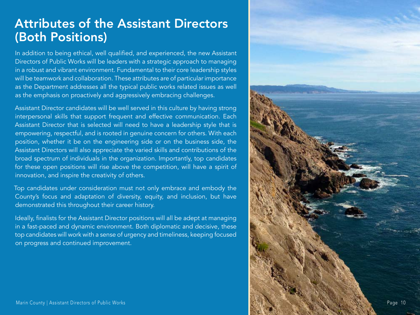#### Attributes of the Assistant Directors (Both Positions)

In addition to being ethical, well qualified, and experienced, the new Assistant Directors of Public Works will be leaders with a strategic approach to managing in a robust and vibrant environment. Fundamental to their core leadership styles will be teamwork and collaboration. These attributes are of particular importance as the Department addresses all the typical public works related issues as well as the emphasis on proactively and aggressively embracing challenges.

Assistant Director candidates will be well served in this culture by having strong interpersonal skills that support frequent and effective communication. Each Assistant Director that is selected will need to have a leadership style that is empowering, respectful, and is rooted in genuine concern for others. With each position, whether it be on the engineering side or on the business side, the Assistant Directors will also appreciate the varied skills and contributions of the broad spectrum of individuals in the organization. Importantly, top candidates for these open positions will rise above the competition, will have a spirit of innovation, and inspire the creativity of others.

Top candidates under consideration must not only embrace and embody the County's focus and adaptation of diversity, equity, and inclusion, but have demonstrated this throughout their career history.

Ideally, finalists for the Assistant Director positions will all be adept at managing in a fast-paced and dynamic environment. Both diplomatic and decisive, these top candidates will work with a sense of urgency and timeliness, keeping focused on progress and continued improvement.

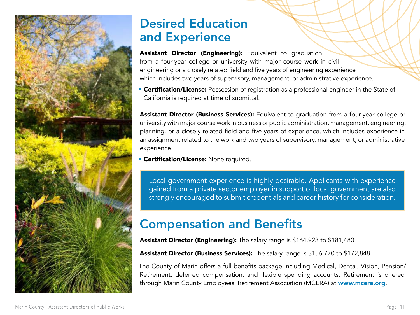

#### Desired Education and Experience

Assistant Director (Engineering): Equivalent to graduation from a four-year college or university with major course work in civil engineering or a closely related field and five years of engineering experience which includes two years of supervisory, management, or administrative experience.

**• Certification/License:** Possession of registration as a professional engineer in the State of California is required at time of submittal.

Assistant Director (Business Services): Equivalent to graduation from a four-year college or university with major course work in business or public administration, management, engineering, planning, or a closely related field and five years of experience, which includes experience in an assignment related to the work and two years of supervisory, management, or administrative experience.

• Certification/License: None required.

Local government experience is highly desirable. Applicants with experience gained from a private sector employer in support of local government are also strongly encouraged to submit credentials and career history for consideration.

### Compensation and Benefits

Assistant Director (Engineering): The salary range is \$164,923 to \$181,480.

Assistant Director (Business Services): The salary range is \$156,770 to \$172,848.

The County of Marin offers a full benefits package including Medical, Dental, Vision, Pension/ Retirement, deferred compensation, and flexible spending accounts. Retirement is offered through Marin County Employees' Retirement Association (MCERA) at [www.mcera.org](http://www.mcera.org).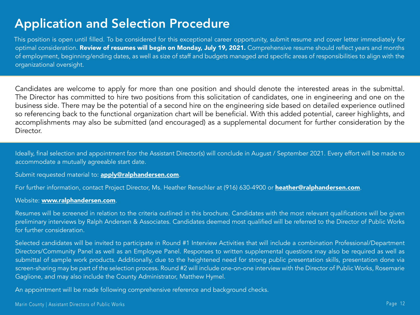### Application and Selection Procedure

This position is open until filled. To be considered for this exceptional career opportunity, submit resume and cover letter immediately for optimal consideration. Review of resumes will begin on Monday, July 19, 2021. Comprehensive resume should reflect years and months of employment, beginning/ending dates, as well as size of staff and budgets managed and specific areas of responsibilities to align with the organizational oversight.

Candidates are welcome to apply for more than one position and should denote the interested areas in the submittal. The Director has committed to hire two positions from this solicitation of candidates, one in engineering and one on the business side. There may be the potential of a second hire on the engineering side based on detailed experience outlined so referencing back to the functional organization chart will be beneficial. With this added potential, career highlights, and accomplishments may also be submitted (and encouraged) as a supplemental document for further consideration by the Director.

Ideally, final selection and appointment fzor the Assistant Director(s) will conclude in August / September 2021. Every effort will be made to accommodate a mutually agreeable start date.

Submit requested material to: **[apply@ralphandersen.com](mailto:apply@ralphandersen.com)**.

For further information, contact Project Director, Ms. Heather Renschler at (916) 630-4900 or **[heather@ralphandersen.com](mailto:heather@ralphandersen.com)**.

#### Website: [www.ralphandersen.com](http://www.ralphandersen.com).

Resumes will be screened in relation to the criteria outlined in this brochure. Candidates with the most relevant qualifications will be given preliminary interviews by Ralph Andersen & Associates. Candidates deemed most qualified will be referred to the Director of Public Works for further consideration.

Selected candidates will be invited to participate in Round #1 Interview Activities that will include a combination Professional/Department Directors/Community Panel as well as an Employee Panel. Responses to written supplemental questions may also be required as well as submittal of sample work products. Additionally, due to the heightened need for strong public presentation skills, presentation done via screen-sharing may be part of the selection process. Round #2 will include one-on-one interview with the Director of Public Works, Rosemarie Gaglione, and may also include the County Administrator, Matthew Hymel.

An appointment will be made following comprehensive reference and background checks.